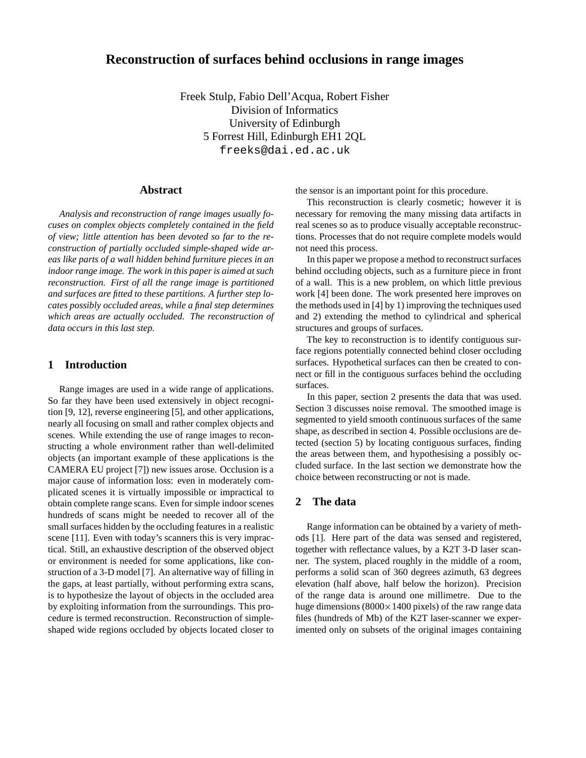# **Reconstruction of surfaces behind occlusions in range images**

Freek Stulp, Fabio Dell'Acqua, Robert Fisher Division of Informatics University of Edinburgh 5 Forrest Hill, Edinburgh EH1 2QL freeks@dai.ed.ac.uk

## **Abstract**

*Analysis and reconstruction of range images usually focuses on complex objects completely contained in the field of view; little attention has been devoted so far to the reconstruction of partially occluded simple-shaped wide areas like parts of a wall hidden behind furniture pieces in an indoorrange image. The work in this paperis aimed at such reconstruction. First of all the range image is partitioned and surfaces are fitted to these partitions. A further step locates possibly occluded areas, while a final step determines which areas are actually occluded. The reconstruction of data occurs in this last step.*

## **1 Introduction**

Range images are used in a wide range of applications. So far they have been used extensively in object recognition [9, 12], reverse engineering [5], and other applications, nearly all focusing on small and rather complex objects and scenes. While extending the use of range images to reconstructing a whole environment rather than well-delimited objects (an important example of these applications is the CAMERA EU project [7]) new issues arose. Occlusion is a major cause of information loss: even in moderately complicated scenes it is virtually impossible or impractical to obtain complete range scans. Even for simple indoor scenes hundreds of scans might be needed to recover all of the small surfaces hidden by the occluding features in a realistic scene [11]. Even with today's scanners this is very impractical. Still, an exhaustive description of the observed object or environment is needed for some applications, like construction of a 3-D model [7]. An alternative way of filling in the gaps, at least partially, without performing extra scans, is to hypothesize the layout of objects in the occluded area by exploiting information from the surroundings. This procedure is termed reconstruction. Reconstruction of simpleshaped wide regions occluded by objects located closer to

the sensor is an important point for this procedure.

This reconstruction is clearly cosmetic; however it is necessary for removing the many missing data artifacts in real scenes so as to produce visually acceptable reconstructions. Processes that do not require complete models would not need this process.

In this paper we propose a method to reconstruct surfaces behind occluding objects, such as a furniture piece in front of a wall. This is a new problem, on which little previous work [4] been done. The work presented here improves on the methods used in [4] by 1) improving the techniques used and 2) extending the method to cylindrical and spherical structures and groups of surfaces.

The key to reconstruction is to identify contiguous surface regions potentially connected behind closer occluding surfaces. Hypothetical surfaces can then be created to connect or fill in the contiguous surfaces behind the occluding surfaces.

In this paper, section 2 presents the data that was used. Section 3 discusses noise removal. The smoothed image is segmented to yield smooth continuous surfaces of the same shape, as described in section 4. Possible occlusions are detected (section 5) by locating contiguous surfaces, finding the areas between them, and hypothesising a possibly occluded surface. In the last section we demonstrate how the choice between reconstructing or not is made.

### **2 The data**

Range information can be obtained by a variety of methods [1]. Here part of the data was sensed and registered, together with reflectance values, by a K2T 3-D laser scanner. The system, placed roughly in the middle of a room, performs a solid scan of 360 degrees azimuth, 63 degrees elevation (half above, half below the horizon). Precision of the range data is around one millimetre. Due to the huge dimensions  $(8000 \times 1400)$  pixels) of the raw range data files (hundreds of Mb) of the K2T laser-scanner we experimented only on subsets of the original images containing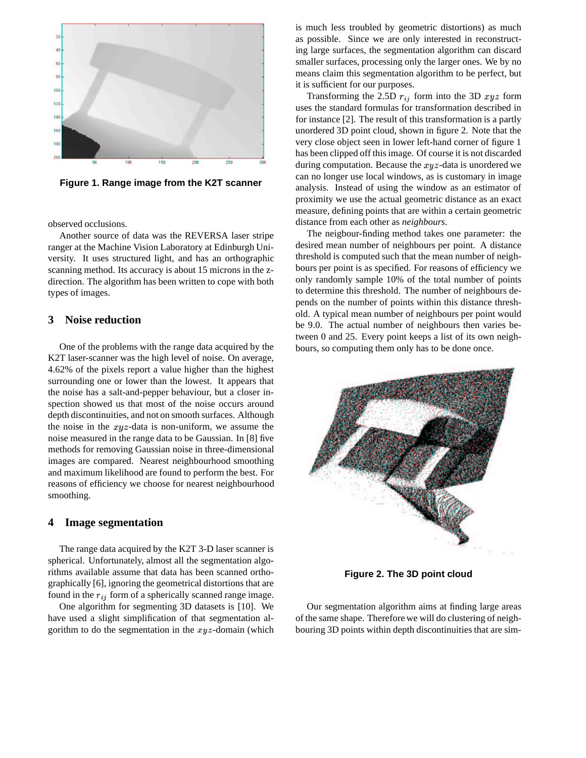

**Figure 1. Range image from the K2T scanner**

observed occlusions.

Another source of data was the REVERSA laser stripe ranger at the Machine Vision Laboratory at Edinburgh University. It uses structured light, and has an orthographic scanning method. Its accuracy is about 15 microns in the zdirection. The algorithm has been written to cope with both types of images.

#### **3 Noise reduction**

One of the problems with the range data acquired by the K2T laser-scanner was the high level of noise. On average, 4.62% of the pixels report a value higher than the highest surrounding one or lower than the lowest. It appears that the noise has a salt-and-pepper behaviour, but a closer inspection showed us that most of the noise occurs around depth discontinuities, and not on smooth surfaces. Although the noise in the  $xyz$ -data is non-uniform, we assume the noise measured in the range data to be Gaussian. In [8] five methods for removing Gaussian noise in three-dimensional images are compared. Nearest neighbourhood smoothing and maximum likelihood are found to perform the best. For reasons of efficiency we choose for nearest neighbourhood smoothing.

#### **4 Image segmentation**

The range data acquired by the K2T 3-D laser scanner is spherical. Unfortunately, almost all the segmentation algorithms available assume that data has been scanned orthographically [6], ignoring the geometrical distortions that are found in the  $r_{ij}$  form of a spherically scanned range image.

One algorithm for segmenting 3D datasets is [10]. We have used a slight simplification of that segmentation algorithm to do the segmentation in the  $xyz$ -domain (which

is much less troubled by geometric distortions) as much as possible. Since we are only interested in reconstructing large surfaces, the segmentation algorithm can discard smaller surfaces, processing only the larger ones. We by no means claim this segmentation algorithm to be perfect, but it is sufficient for our purposes.

Transforming the 2.5D  $r_{ij}$  form into the 3D  $xyz$  form uses the standard formulas for transformation described in for instance [2]. The result of this transformation is a partly unordered 3D point cloud, shown in figure 2. Note that the very close object seen in lower left-hand corner of figure 1 has been clipped off this image. Of course it is not discarded during computation. Because the  $xyz$ -data is unordered we can no longer use local windows, as is customary in image analysis. Instead of using the window as an estimator of proximity we use the actual geometric distance as an exact measure, defining points that are within a certain geometric distance from each other as *neighbours*.

The neigbour-finding method takes one parameter: the desired mean number of neighbours per point. A distance threshold is computed such that the mean number of neighbours per point is as specified. For reasons of efficiency we only randomly sample 10% of the total number of points to determine this threshold. The number of neighbours depends on the number of points within this distance threshold. A typical mean number of neighbours per point would be 9.0. The actual number of neighbours then varies between 0 and 25. Every point keeps a list of its own neighbours, so computing them only has to be done once.



**Figure 2. The 3D point cloud**

Our segmentation algorithm aims at finding large areas of the same shape. Therefore we will do clustering of neighbouring 3D points within depth discontinuities that are sim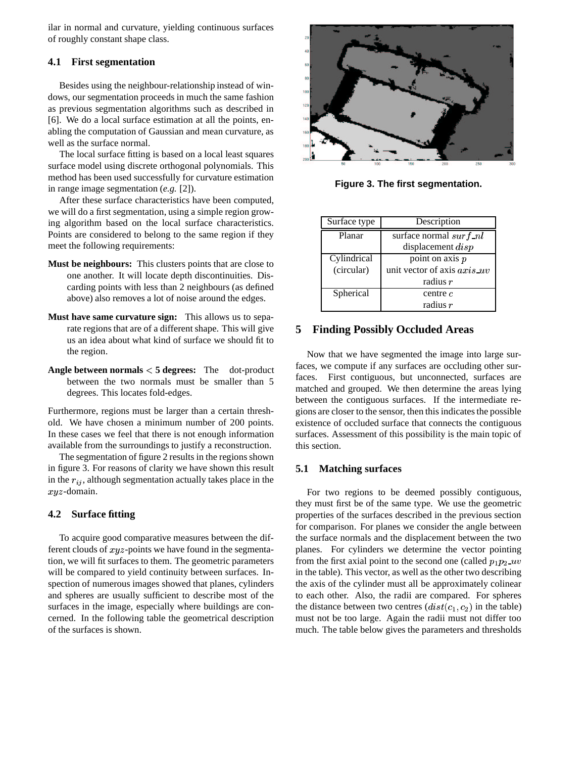ilar in normal and curvature, yielding continuous surfaces of roughly constant shape class.

#### **4.1 First segmentation**

Besides using the neighbour-relationship instead of windows, our segmentation proceeds in much the same fashion as previous segmentation algorithms such as described in [6]. We do a local surface estimation at all the points, enabling the computation of Gaussian and mean curvature, as well as the surface normal.

The local surface fitting is based on a local least squares surface model using discrete orthogonal polynomials. This method has been used successfully for curvature estimation in range image segmentation (*e.g.* [2]).

After these surface characteristics have been computed, we will do a first segmentation, using a simple region growing algorithm based on the local surface characteristics. Points are considered to belong to the same region if they meet the following requirements:

- **Must be neighbours:** This clusters points that are close to one another. It will locate depth discontinuities. Discarding points with less than 2 neighbours (as defined above) also removes a lot of noise around the edges.
- **Must have same curvature sign:** This allows us to separate regions that are of a different shape. This will give us an idea about what kind of surface we should fit to the region.
- **Angle between normals**  $\lt$  **5** degrees: The dot-product between the two normals must be smaller than 5 degrees. This locates fold-edges.

Furthermore, regions must be larger than a certain threshold. We have chosen a minimum number of 200 points. In these cases we feel that there is not enough information available from the surroundings to justify a reconstruction.

The segmentation of figure 2 results in the regions shown in figure 3. For reasons of clarity we have shown this result in the  $r_{ij}$ , although segmentation actually takes place in the  $xyz$ -domain.

#### **4.2 Surface fitting**

To acquire good comparative measures between the different clouds of  $xyz$ -points we have found in the segmentation, we will fit surfaces to them. The geometric parameters will be compared to yield continuity between surfaces. Inspection of numerous images showed that planes, cylinders and spheres are usually sufficient to describe most of the surfaces in the image, especially where buildings are concerned. In the following table the geometrical description of the surfaces is shown.



**Figure 3. The first segmentation.**

| Surface type | Description                             |
|--------------|-----------------------------------------|
| Planar       | surface normal $\sqrt{snr}$ $\sqrt{nl}$ |
|              | displacement $disp$                     |
| Cylindrical  | point on axis $p$                       |
| (circular)   | unit vector of axis axis_uv             |
|              | radius $r$                              |
| Spherical    | centre $c$                              |
|              | radius $r$                              |

### **5 Finding Possibly Occluded Areas**

Now that we have segmented the image into large surfaces, we compute if any surfaces are occluding other surfaces. First contiguous, but unconnected, surfaces are matched and grouped. We then determine the areas lying between the contiguous surfaces. If the intermediate regions are closer to the sensor, then this indicates the possible existence of occluded surface that connects the contiguous surfaces. Assessment of this possibility is the main topic of this section.

#### **5.1 Matching surfaces**

For two regions to be deemed possibly contiguous, they must first be of the same type. We use the geometric properties of the surfaces described in the previous section for comparison. For planes we consider the angle between the surface normals and the displacement between the two planes. For cylinders we determine the vector pointing from the first axial point to the second one (called  $p_1 p_2 \_uv$ in the table). This vector, as well as the other two describing the axis of the cylinder must all be approximately colinear to each other. Also, the radii are compared. For spheres the distance between two centres  $\left( dist(c_1, c_2) \right)$  in the table) must not be too large. Again the radii must not differ too much. The table below gives the parameters and thresholds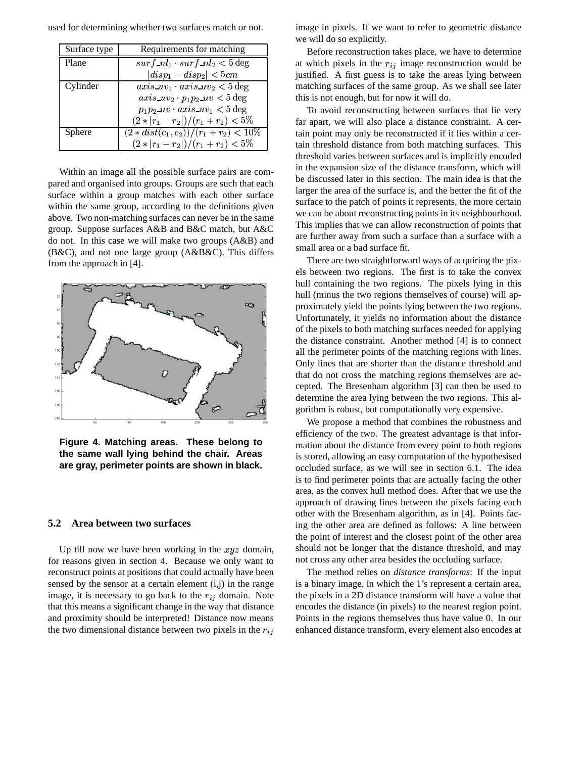| Surface type | Requirements for matching                                  |  |
|--------------|------------------------------------------------------------|--|
| Plane        | $surf\_nl_1 \cdot surf\_nl_2 < 5 \text{ deg}$              |  |
|              | $ disp_1 - disp_2  < 5cm$                                  |  |
| Cylinder     | $axis_{1}uv_{1} \cdot axis_{1}uv_{2} < 5 \text{ deg}$      |  |
|              | $axis_{1}uv_{2} \cdot p_{1}p_{2} \cdot uv < 5 \text{ deg}$ |  |
|              | $p_1p_2\_{uv} \cdot axis\_{uv_1} < 5 \text{ deg}$          |  |
|              | $(2 *  r_1 - r_2 )/(r_1 + r_2) < 5\%$                      |  |
| Sphere       | $(2 * dist(c_1, c_2))/(r_1 + r_2) < 10\%$                  |  |
|              | $(2 *  r_1 - r_2 )/(r_1 + r_2) < 5\%$                      |  |

used for determining whether two surfaces match or not.

Within an image all the possible surface pairs are compared and organised into groups. Groups are such that each surface within a group matches with each other surface within the same group, according to the definitions given above. Two non-matching surfaces can never be in the same group. Suppose surfaces A&B and B&C match, but A&C do not. In this case we will make two groups (A&B) and (B&C), and not one large group (A&B&C). This differs from the approach in [4].



**Figure 4. Matching areas. These belong to the same wall lying behind the chair. Areas are gray, perimeter points are shown in black.**

### **5.2 Area between two surfaces**

Up till now we have been working in the  $xyz$  domain, for reasons given in section 4. Because we only want to reconstruct points at positions that could actually have been sensed by the sensor at a certain element (i,j) in the range image, it is necessary to go back to the  $r_{ij}$  domain. Note that this means a significant change in the way that distance and proximity should be interpreted! Distance now means the two dimensional distance between two pixels in the  $r_{ij}$ 

image in pixels. If we want to refer to geometric distance we will do so explicitly.

 $cm$  | justified. A first guess is to take the areas lying between Before reconstruction takes place, we have to determine at which pixels in the  $r_{ij}$  image reconstruction would be matching surfaces of the same group. As we shall see later this is not enough, but for now it will do.

 $5\%$  far apart, we will also place a distance constraint. A cer $t_1(t_1, c_2)/(r_1 + r_2) < 10\%$  ain point may only be reconstructed if it lies within a cer-5% | tain threshold distance from both matching surfaces. This To avoid reconstructing between surfaces that lie very threshold varies between surfaces and is implicitly encoded in the expansion size of the distance transform, which will be discussed later in this section. The main idea is that the larger the area of the surface is, and the better the fit of the surface to the patch of points it represents, the more certain we can be about reconstructing points in its neighbourhood. This implies that we can allow reconstruction of points that are further away from such a surface than a surface with a small area or a bad surface fit.

> There are two straightforward ways of acquiring the pixels between two regions. The first is to take the convex hull containing the two regions. The pixels lying in this hull (minus the two regions themselves of course) will approximately yield the points lying between the two regions. Unfortunately, it yields no information about the distance of the pixels to both matching surfaces needed for applying the distance constraint. Another method [4] is to connect all the perimeter points of the matching regions with lines. Only lines that are shorter than the distance threshold and that do not cross the matching regions themselves are accepted. The Bresenham algorithm [3] can then be used to determine the area lying between the two regions. This algorithm is robust, but computationally very expensive.

> We propose a method that combines the robustness and efficiency of the two. The greatest advantage is that information about the distance from every point to both regions is stored, allowing an easy computation of the hypothesised occluded surface, as we will see in section 6.1. The idea is to find perimeter points that are actually facing the other area, as the convex hull method does. After that we use the approach of drawing lines between the pixels facing each other with the Bresenham algorithm, as in [4]. Points facing the other area are defined as follows: A line between the point of interest and the closest point of the other area should not be longer that the distance threshold, and may not cross any other area besides the occluding surface.

> The method relies on *distance transforms*: If the input is a binary image, in which the 1's represent a certain area, the pixels in a 2D distance transform will have a value that encodes the distance (in pixels) to the nearest region point. Points in the regions themselves thus have value 0. In our enhanced distance transform, every element also encodes at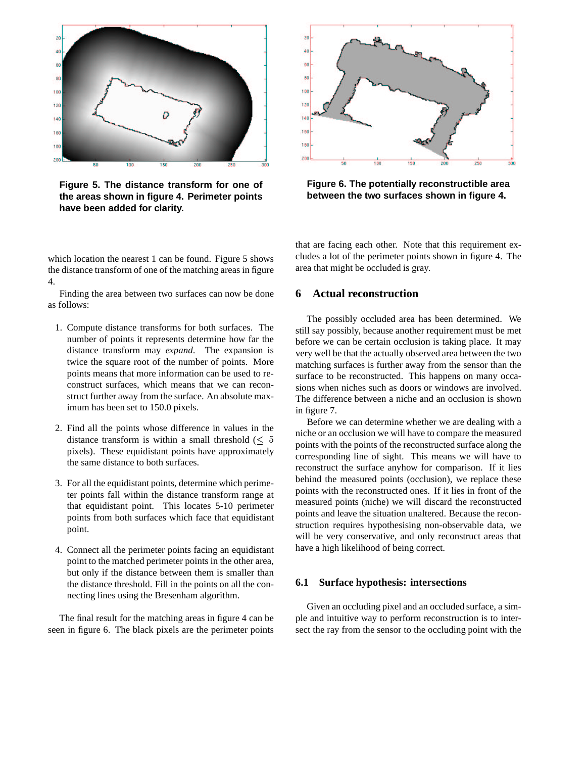

**Figure 5. The distance transform for one of the areas shown in figure 4. Perimeter points have been added for clarity.**

which location the nearest 1 can be found. Figure 5 shows the distance transform of one of the matching areas in figure 4.

Finding the area between two surfaces can now be done as follows:

- 1. Compute distance transforms for both surfaces. The number of points it represents determine how far the distance transform may *expand*. The expansion is twice the square root of the number of points. More points means that more information can be used to reconstruct surfaces, which means that we can reconstruct further away from the surface. An absolute maximum has been set to 150.0 pixels.
- 2. Find all the points whose difference in values in the distance transform is within a small threshold  $( \leq 5$ pixels). These equidistant points have approximately the same distance to both surfaces.
- 3. For all the equidistant points, determine which perimeter points fall within the distance transform range at that equidistant point. This locates 5-10 perimeter points from both surfaces which face that equidistant point.
- 4. Connect all the perimeter points facing an equidistant point to the matched perimeter points in the other area, but only if the distance between them is smaller than the distance threshold. Fill in the points on all the connecting lines using the Bresenham algorithm.

The final result for the matching areas in figure 4 can be seen in figure 6. The black pixels are the perimeter points



**Figure 6. The potentially reconstructible area between the two surfaces shown in figure 4.**

that are facing each other. Note that this requirement excludes a lot of the perimeter points shown in figure 4. The area that might be occluded is gray.

#### **6 Actual reconstruction**

The possibly occluded area has been determined. We still say possibly, because another requirement must be met before we can be certain occlusion is taking place. It may very well be that the actually observed area between the two matching surfaces is further away from the sensor than the surface to be reconstructed. This happens on many occasions when niches such as doors or windows are involved. The difference between a niche and an occlusion is shown in figure 7.

 niche or an occlusion we will have to compare the measured Before we can determine whether we are dealing with a points with the points of the reconstructed surface along the corresponding line of sight. This means we will have to reconstruct the surface anyhow for comparison. If it lies behind the measured points (occlusion), we replace these points with the reconstructed ones. If it lies in front of the measured points (niche) we will discard the reconstructed points and leave the situation unaltered. Because the reconstruction requires hypothesising non-observable data, we will be very conservative, and only reconstruct areas that have a high likelihood of being correct.

#### **6.1 Surface hypothesis: intersections**

Given an occluding pixel and an occluded surface, a simple and intuitive way to perform reconstruction is to intersect the ray from the sensor to the occluding point with the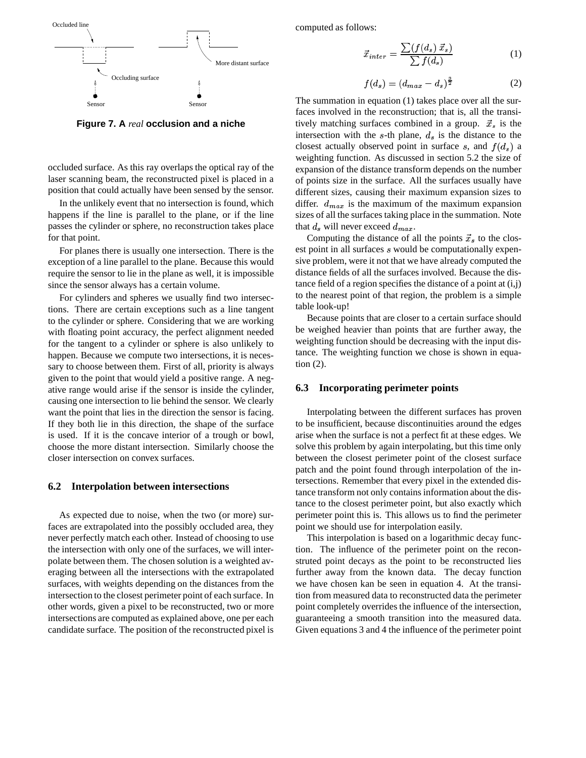

**Figure 7. A** *real* **occlusion and a niche**

occluded surface. As this ray overlaps the optical ray of the laser scanning beam, the reconstructed pixel is placed in a position that could actually have been sensed by the sensor.

In the unlikely event that no intersection is found, which happens if the line is parallel to the plane, or if the line passes the cylinder or sphere, no reconstruction takes place for that point.

For planes there is usually one intersection. There is the exception of a line parallel to the plane. Because this would require the sensor to lie in the plane as well, it is impossible since the sensor always has a certain volume.

For cylinders and spheres we usually find two intersections. There are certain exceptions such as a line tangent to the cylinder or sphere. Considering that we are working with floating point accuracy, the perfect alignment needed for the tangent to a cylinder or sphere is also unlikely to happen. Because we compute two intersections, it is necessary to choose between them. First of all, priority is always given to the point that would yield a positive range. A negative range would arise if the sensor is inside the cylinder, causing one intersection to lie behind the sensor. We clearly want the point that lies in the direction the sensor is facing. If they both lie in this direction, the shape of the surface is used. If it is the concave interior of a trough or bowl, choose the more distant intersection. Similarly choose the closer intersection on convex surfaces.

### **6.2 Interpolation between intersections**

As expected due to noise, when the two (or more) surfaces are extrapolated into the possibly occluded area, they never perfectly match each other. Instead of choosing to use the intersection with only one of the surfaces, we will interpolate between them. The chosen solution is a weighted averaging between all the intersections with the extrapolated surfaces, with weights depending on the distances from the intersection to the closest perimeter point of each surface. In other words, given a pixel to be reconstructed, two or more intersections are computed as explained above, one per each candidate surface. The position of the reconstructed pixel is

computed as follows:

$$
\vec{x}_{inter} = \frac{\sum (f(d_s) \ \vec{x}_s)}{\sum f(d_s)} \tag{1}
$$

$$
f(d_s) = (d_{max} - d_s)^{\frac{3}{2}}
$$
 (2)

The summation in equation (1) takes place over all the surfaces involved in the reconstruction; that is, all the transitively matching surfaces combined in a group.  $\vec{x}_s$  is the intersection with the  $s$ -th plane,  $d_s$  is the distance to the closest actually observed point in surface  $s$ , and  $f(d_s)$  a weighting function. As discussed in section 5.2 the size of expansion of the distance transform depends on the number of points size in the surface. All the surfaces usually have different sizes, causing their maximum expansion sizes to differ.  $d_{max}$  is the maximum of the maximum expansion sizes of all the surfaces taking place in the summation. Note that  $d_s$  will never exceed  $d_{max}$ .

Computing the distance of all the points  $\vec{x}_s$  to the closest point in all surfaces *s* would be computationally expensive problem, were it not that we have already computed the distance fields of all the surfaces involved. Because the distance field of a region specifies the distance of a point at (i,j) to the nearest point of that region, the problem is a simple table look-up!

Because points that are closer to a certain surface should be weighed heavier than points that are further away, the weighting function should be decreasing with the input distance. The weighting function we chose is shown in equation (2).

#### **6.3 Incorporating perimeter points**

Interpolating between the different surfaces has proven to be insufficient, because discontinuities around the edges arise when the surface is not a perfect fit at these edges. We solve this problem by again interpolating, but this time only between the closest perimeter point of the closest surface patch and the point found through interpolation of the intersections. Remember that every pixel in the extended distance transform not only contains information about the distance to the closest perimeter point, but also exactly which perimeter point this is. This allows us to find the perimeter point we should use for interpolation easily.

This interpolation is based on a logarithmic decay function. The influence of the perimeter point on the reconstruted point decays as the point to be reconstructed lies further away from the known data. The decay function we have chosen kan be seen in equation 4. At the transition from measured data to reconstructed data the perimeter point completely overrides the influence of the intersection, guaranteeing a smooth transition into the measured data. Given equations 3 and 4 the influence of the perimeter point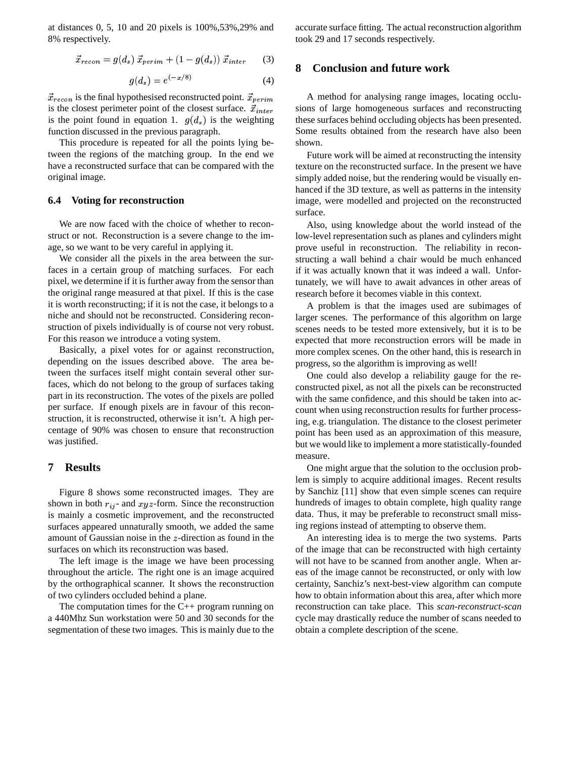at distances 0, 5, 10 and 20 pixels is 100%,53%,29% and 8% respectively.

$$
\vec{x}_{recon} = g(d_s) \; \vec{x}_{perim} + (1 - g(d_s)) \; \vec{x}_{inter} \tag{3}
$$

$$
g(d_s) = e^{(-x/8)}\tag{4}
$$

 $\vec{x}_{recon}$  is the final hypothesised reconstructed point.  $\vec{x}_{perim}$ is the closest perimeter point of the closest surface.  $\vec{x}_{inter}$  si is the point found in equation 1.  $g(d_s)$  is the weighting function discussed in the previous paragraph.

This procedure is repeated for all the points lying between the regions of the matching group. In the end we have a reconstructed surface that can be compared with the original image.

#### **6.4 Voting for reconstruction**

We are now faced with the choice of whether to reconstruct or not. Reconstruction is a severe change to the image, so we want to be very careful in applying it.

We consider all the pixels in the area between the surfaces in a certain group of matching surfaces. For each pixel, we determine if it is further away from the sensor than the original range measured at that pixel. If this is the case it is worth reconstructing; if it is not the case, it belongs to a niche and should not be reconstructed. Considering reconstruction of pixels individually is of course not very robust. For this reason we introduce a voting system.

Basically, a pixel votes for or against reconstruction, depending on the issues described above. The area between the surfaces itself might contain several other surfaces, which do not belong to the group of surfaces taking part in its reconstruction. The votes of the pixels are polled per surface. If enough pixels are in favour of this reconstruction, it is reconstructed, otherwise it isn't. A high percentage of 90% was chosen to ensure that reconstruction was justified.

#### **7 Results**

Figure 8 shows some reconstructed images. They are shown in both  $r_{ij}$ - and  $xyz$ -form. Since the reconstruction is mainly a cosmetic improvement, and the reconstructed surfaces appeared unnaturally smooth, we added the same amount of Gaussian noise in the  $z$ -direction as found in the surfaces on which its reconstruction was based.

The left image is the image we have been processing throughout the article. The right one is an image acquired by the orthographical scanner. It shows the reconstruction of two cylinders occluded behind a plane.

The computation times for the  $C_{++}$  program running on a 440Mhz Sun workstation were 50 and 30 seconds for the segmentation of these two images. This is mainly due to the

accurate surface fitting. The actual reconstruction algorithm took 29 and 17 seconds respectively.

### **8 Conclusion and future work**

 $<sub>m</sub>$  A method for analysing range images, locating occlu-</sub> sions of large homogeneous surfaces and reconstructing these surfaces behind occluding objects has been presented. Some results obtained from the research have also been shown.

> Future work will be aimed at reconstructing the intensity texture on the reconstructed surface. In the present we have simply added noise, but the rendering would be visually enhanced if the 3D texture, as well as patterns in the intensity image, were modelled and projected on the reconstructed surface.

> Also, using knowledge about the world instead of the low-level representation such as planes and cylinders might prove useful in reconstruction. The reliability in reconstructing a wall behind a chair would be much enhanced if it was actually known that it was indeed a wall. Unfortunately, we will have to await advances in other areas of research before it becomes viable in this context.

> A problem is that the images used are subimages of larger scenes. The performance of this algorithm on large scenes needs to be tested more extensively, but it is to be expected that more reconstruction errors will be made in more complex scenes. On the other hand, this is research in progress, so the algorithm is improving as well!

> One could also develop a reliability gauge for the reconstructed pixel, as not all the pixels can be reconstructed with the same confidence, and this should be taken into account when using reconstruction results for further processing, e.g. triangulation. The distance to the closest perimeter point has been used as an approximation of this measure, but we would like to implement a more statistically-founded measure.

> One might argue that the solution to the occlusion problem is simply to acquire additional images. Recent results by Sanchiz [11] show that even simple scenes can require hundreds of images to obtain complete, high quality range data. Thus, it may be preferable to reconstruct small missing regions instead of attempting to observe them.

> An interesting idea is to merge the two systems. Parts of the image that can be reconstructed with high certainty will not have to be scanned from another angle. When areas of the image cannot be reconstructed, or only with low certainty, Sanchiz's next-best-view algorithm can compute how to obtain information about this area, after which more reconstruction can take place. This *scan-reconstruct-scan* cycle may drastically reduce the number of scans needed to obtain a complete description of the scene.